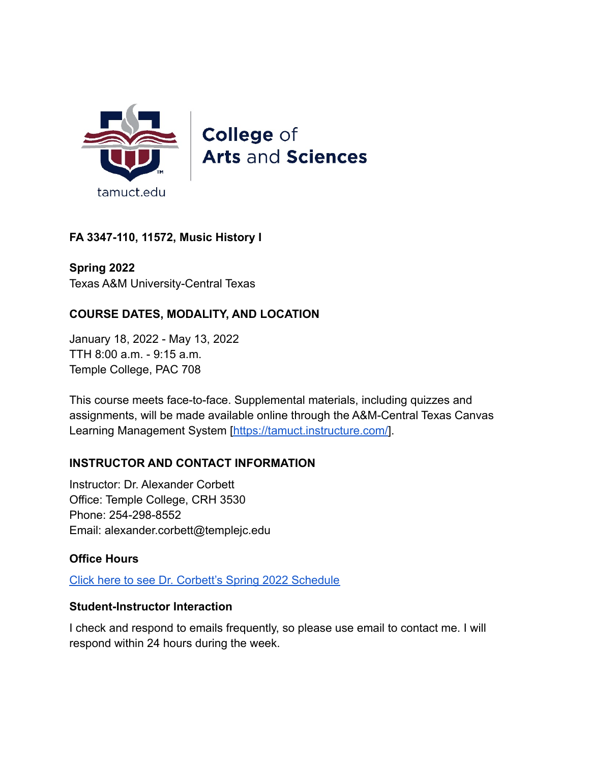

**College of Arts and Sciences** 

# **FA 3347-110, 11572, Music History I**

**Spring 2022** Texas A&M University-Central Texas

# **COURSE DATES, MODALITY, AND LOCATION**

January 18, 2022 - May 13, 2022 TTH 8:00 a.m. - 9:15 a.m. Temple College, PAC 708

This course meets face-to-face. Supplemental materials, including quizzes and assignments, will be made available online through the A&M-Central Texas Canvas Learning Management System [[https://tamuct.instructure.com/\]](https://tamuct.instructure.com/).

### **INSTRUCTOR AND CONTACT INFORMATION**

Instructor: Dr. Alexander Corbett Office: Temple College, CRH 3530 Phone: 254-298-8552 Email: alexander.corbett@templejc.edu

# **Office Hours**

[Click here to see Dr. Corbett's Spring 2022 Schedule](https://docs.google.com/spreadsheets/d/1EeZRE2-RD5NkfQvwUc9h3XGj6kb9dhdiUyz8SiKcGpM/edit?usp=sharing)

### **Student-Instructor Interaction**

I check and respond to emails frequently, so please use email to contact me. I will respond within 24 hours during the week.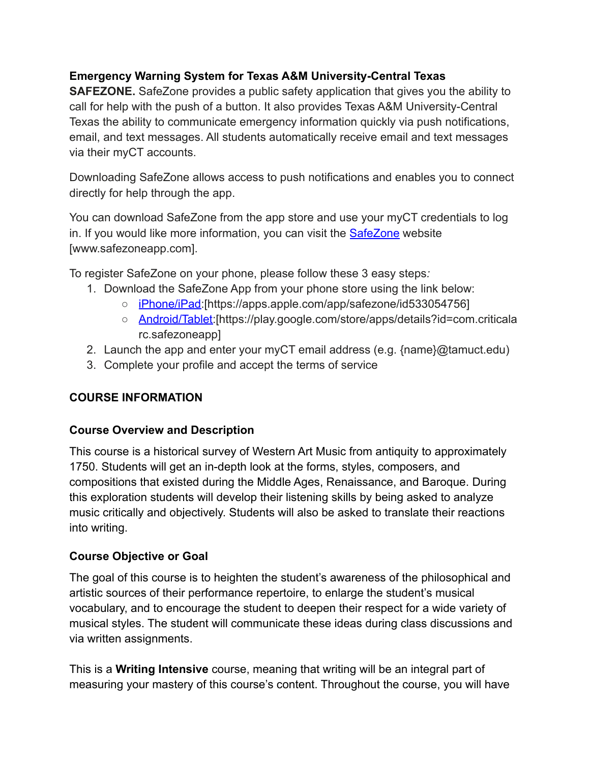# **Emergency Warning System for Texas A&M University-Central Texas**

**SAFEZONE.** SafeZone provides a public safety application that gives you the ability to call for help with the push of a button. It also provides Texas A&M University-Central Texas the ability to communicate emergency information quickly via push notifications, email, and text messages. All students automatically receive email and text messages via their myCT accounts.

Downloading SafeZone allows access to push notifications and enables you to connect directly for help through the app.

You can download SafeZone from the app store and use your myCT credentials to log in. If you would like more information, you can visit the **[SafeZone](http://www.safezoneapp.com)** website [www.safezoneapp.com].

To register SafeZone on your phone, please follow these 3 easy steps*:*

- 1. Download the SafeZone App from your phone store using the link below:
	- [iPhone/iPad:](https://apps.apple.com/app/safezone/id533054756)[https://apps.apple.com/app/safezone/id533054756]
	- [Android/Tablet:](https://play.google.com/store/apps/details?id=com.criticalarc.safezoneapp)[https://play.google.com/store/apps/details?id=com.criticala rc.safezoneapp]
- 2. Launch the app and enter your myCT email address (e.g. {name}@tamuct.edu)
- 3. Complete your profile and accept the terms of service

# **COURSE INFORMATION**

# **Course Overview and Description**

This course is a historical survey of Western Art Music from antiquity to approximately 1750. Students will get an in-depth look at the forms, styles, composers, and compositions that existed during the Middle Ages, Renaissance, and Baroque. During this exploration students will develop their listening skills by being asked to analyze music critically and objectively. Students will also be asked to translate their reactions into writing.

# **Course Objective or Goal**

The goal of this course is to heighten the student's awareness of the philosophical and artistic sources of their performance repertoire, to enlarge the student's musical vocabulary, and to encourage the student to deepen their respect for a wide variety of musical styles. The student will communicate these ideas during class discussions and via written assignments.

This is a **Writing Intensive** course, meaning that writing will be an integral part of measuring your mastery of this course's content. Throughout the course, you will have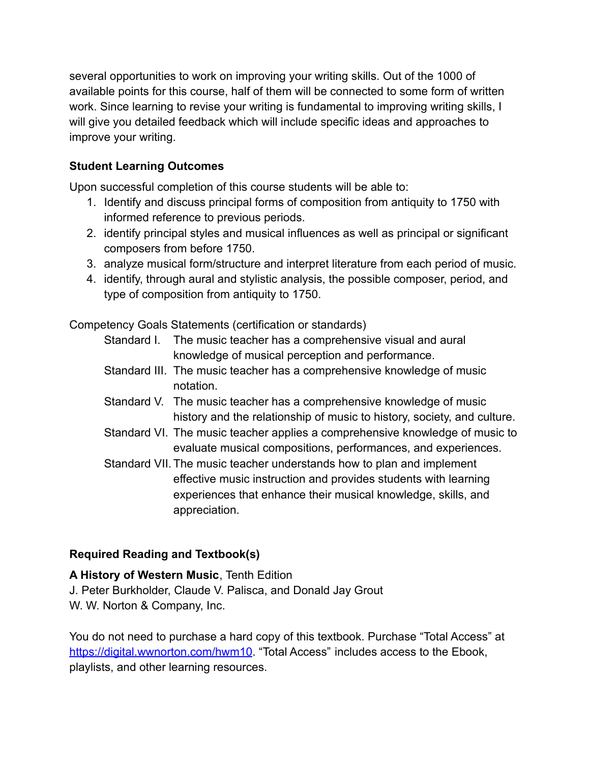several opportunities to work on improving your writing skills. Out of the 1000 of available points for this course, half of them will be connected to some form of written work. Since learning to revise your writing is fundamental to improving writing skills, I will give you detailed feedback which will include specific ideas and approaches to improve your writing.

# **Student Learning Outcomes**

Upon successful completion of this course students will be able to:

- 1. Identify and discuss principal forms of composition from antiquity to 1750 with informed reference to previous periods.
- 2. identify principal styles and musical influences as well as principal or significant composers from before 1750.
- 3. analyze musical form/structure and interpret literature from each period of music.
- 4. identify, through aural and stylistic analysis, the possible composer, period, and type of composition from antiquity to 1750.

Competency Goals Statements (certification or standards)

- Standard I. The music teacher has a comprehensive visual and aural knowledge of musical perception and performance.
- Standard III. The music teacher has a comprehensive knowledge of music notation.
- Standard V. The music teacher has a comprehensive knowledge of music history and the relationship of music to history, society, and culture.
- Standard VI. The music teacher applies a comprehensive knowledge of music to evaluate musical compositions, performances, and experiences.
- Standard VII. The music teacher understands how to plan and implement effective music instruction and provides students with learning experiences that enhance their musical knowledge, skills, and appreciation.

# **Required Reading and Textbook(s)**

**A History of Western Music**, Tenth Edition J. Peter Burkholder, Claude V. Palisca, and Donald Jay Grout W. W. Norton & Company, Inc.

You do not need to purchase a hard copy of this textbook. Purchase "Total Access" at <https://digital.wwnorton.com/hwm10>. "Total Access" includes access to the Ebook, playlists, and other learning resources.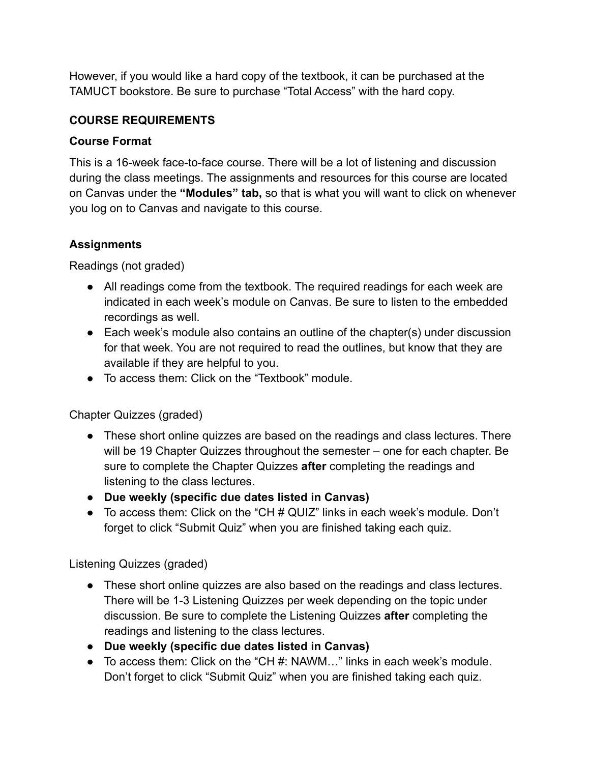However, if you would like a hard copy of the textbook, it can be purchased at the TAMUCT bookstore. Be sure to purchase "Total Access" with the hard copy.

### **COURSE REQUIREMENTS**

### **Course Format**

This is a 16-week face-to-face course. There will be a lot of listening and discussion during the class meetings. The assignments and resources for this course are located on Canvas under the **"Modules" tab,** so that is what you will want to click on whenever you log on to Canvas and navigate to this course.

### **Assignments**

Readings (not graded)

- All readings come from the textbook. The required readings for each week are indicated in each week's module on Canvas. Be sure to listen to the embedded recordings as well.
- Each week's module also contains an outline of the chapter(s) under discussion for that week. You are not required to read the outlines, but know that they are available if they are helpful to you.
- To access them: Click on the "Textbook" module

Chapter Quizzes (graded)

- These short online quizzes are based on the readings and class lectures. There will be 19 Chapter Quizzes throughout the semester – one for each chapter. Be sure to complete the Chapter Quizzes **after** completing the readings and listening to the class lectures.
- **● Due weekly (specific due dates listed in Canvas)**
- To access them: Click on the "CH # QUIZ" links in each week's module. Don't forget to click "Submit Quiz" when you are finished taking each quiz.

Listening Quizzes (graded)

- These short online quizzes are also based on the readings and class lectures. There will be 1-3 Listening Quizzes per week depending on the topic under discussion. Be sure to complete the Listening Quizzes **after** completing the readings and listening to the class lectures.
- **Due weekly (specific due dates listed in Canvas)**
- To access them: Click on the "CH #: NAWM…" links in each week's module. Don't forget to click "Submit Quiz" when you are finished taking each quiz.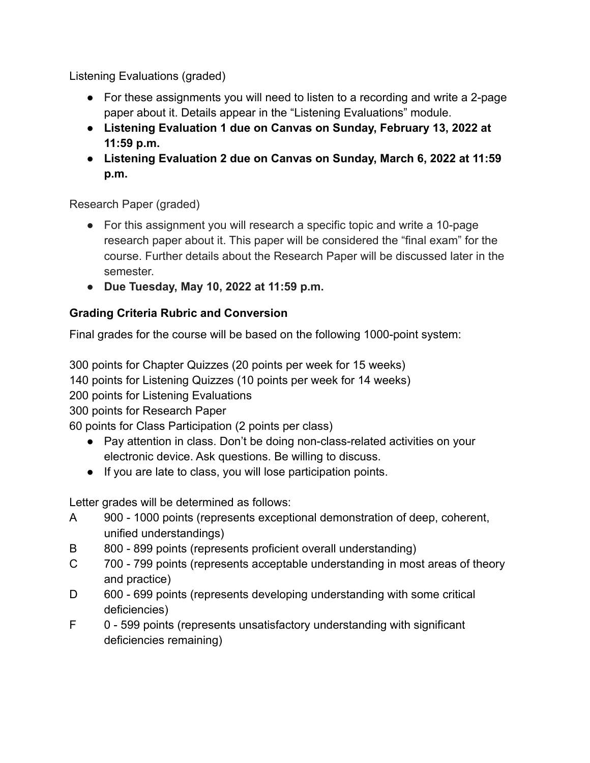Listening Evaluations (graded)

- For these assignments you will need to listen to a recording and write a 2-page paper about it. Details appear in the "Listening Evaluations" module.
- **● Listening Evaluation 1 due on Canvas on Sunday, February 13, 2022 at 11:59 p.m.**
- **● Listening Evaluation 2 due on Canvas on Sunday, March 6, 2022 at 11:59 p.m.**

Research Paper (graded)

- For this assignment you will research a specific topic and write a 10-page research paper about it. This paper will be considered the "final exam" for the course. Further details about the Research Paper will be discussed later in the semester.
- **● Due Tuesday, May 10, 2022 at 11:59 p.m.**

# **Grading Criteria Rubric and Conversion**

Final grades for the course will be based on the following 1000-point system:

300 points for Chapter Quizzes (20 points per week for 15 weeks)

140 points for Listening Quizzes (10 points per week for 14 weeks)

200 points for Listening Evaluations

300 points for Research Paper

60 points for Class Participation (2 points per class)

- Pay attention in class. Don't be doing non-class-related activities on your electronic device. Ask questions. Be willing to discuss.
- If you are late to class, you will lose participation points.

Letter grades will be determined as follows:

- A 900 1000 points (represents exceptional demonstration of deep, coherent, unified understandings)
- B 800 899 points (represents proficient overall understanding)
- C 700 799 points (represents acceptable understanding in most areas of theory and practice)
- D 600 699 points (represents developing understanding with some critical deficiencies)
- F 0 599 points (represents unsatisfactory understanding with significant deficiencies remaining)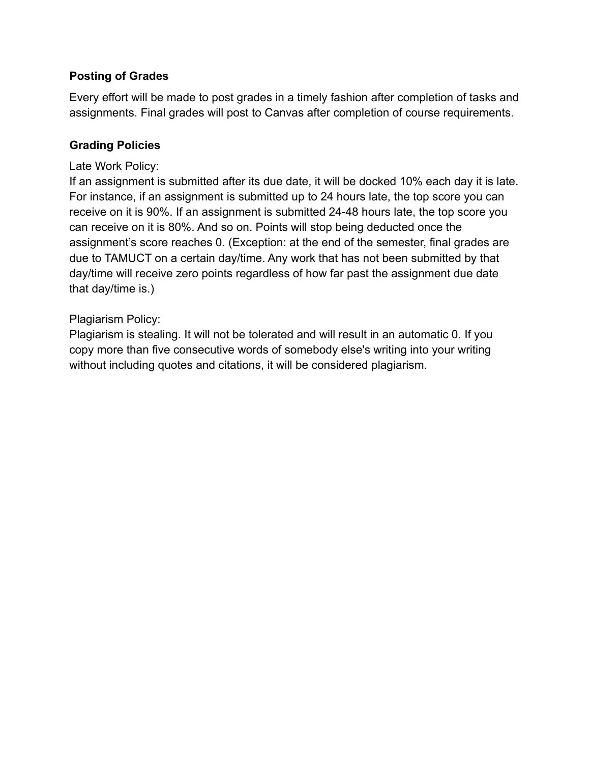### **Posting of Grades**

Every effort will be made to post grades in a timely fashion after completion of tasks and assignments. Final grades will post to Canvas after completion of course requirements.

### **Grading Policies**

#### Late Work Policy:

If an assignment is submitted after its due date, it will be docked 10% each day it is late. For instance, if an assignment is submitted up to 24 hours late, the top score you can receive on it is 90%. If an assignment is submitted 24-48 hours late, the top score you can receive on it is 80%. And so on. Points will stop being deducted once the assignment's score reaches 0. (Exception: at the end of the semester, final grades are due to TAMUCT on a certain day/time. Any work that has not been submitted by that day/time will receive zero points regardless of how far past the assignment due date that day/time is.)

### Plagiarism Policy:

Plagiarism is stealing. It will not be tolerated and will result in an automatic 0. If you copy more than five consecutive words of somebody else's writing into your writing without including quotes and citations, it will be considered plagiarism.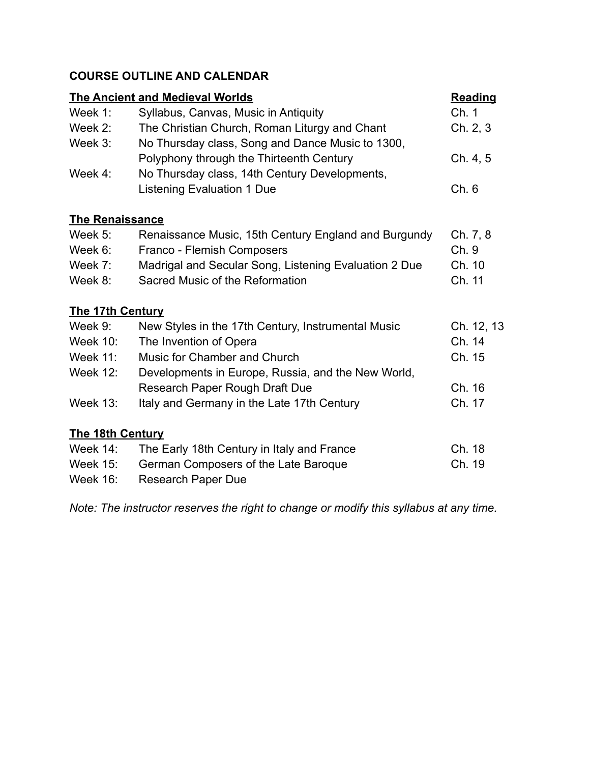# **COURSE OUTLINE AND CALENDAR**

| <b>The Ancient and Medieval Worlds</b> |                                                       | <b>Reading</b> |
|----------------------------------------|-------------------------------------------------------|----------------|
| Week $1$ :                             | Syllabus, Canvas, Music in Antiquity                  | Ch. 1          |
| Week 2:                                | The Christian Church, Roman Liturgy and Chant         | Ch. 2, 3       |
| Week 3:                                | No Thursday class, Song and Dance Music to 1300,      |                |
|                                        | Polyphony through the Thirteenth Century              | Ch. 4, 5       |
| Week $4$ :                             | No Thursday class, 14th Century Developments,         |                |
|                                        | <b>Listening Evaluation 1 Due</b>                     | Ch.6           |
| <b>The Renaissance</b>                 |                                                       |                |
| Week $5$ :                             | Renaissance Music, 15th Century England and Burgundy  | Ch. 7, 8       |
| Week 6:                                | Franco - Flemish Composers                            | Ch. 9          |
| Week 7:                                | Madrigal and Secular Song, Listening Evaluation 2 Due | Ch. 10         |
| Week 8:                                | Sacred Music of the Reformation                       | Ch. 11         |
| <b>The 17th Century</b>                |                                                       |                |
| Week 9:                                | New Styles in the 17th Century, Instrumental Music    | Ch. 12, 13     |
| <b>Week 10:</b>                        | The Invention of Opera                                | Ch. 14         |
| <b>Week 11:</b>                        | Music for Chamber and Church                          | Ch. 15         |
| <b>Week 12:</b>                        | Developments in Europe, Russia, and the New World,    |                |
|                                        | Research Paper Rough Draft Due                        | Ch. 16         |
| <b>Week 13:</b>                        | Italy and Germany in the Late 17th Century            | Ch. 17         |
| <b>The 18th Century</b>                |                                                       |                |
| <b>Week 14:</b>                        | The Early 18th Century in Italy and France            | Ch. 18         |
| <b>Week 15:</b>                        | German Composers of the Late Baroque                  | Ch. 19         |
| <b>Week 16:</b>                        | <b>Research Paper Due</b>                             |                |

*Note: The instructor reserves the right to change or modify this syllabus at any time.*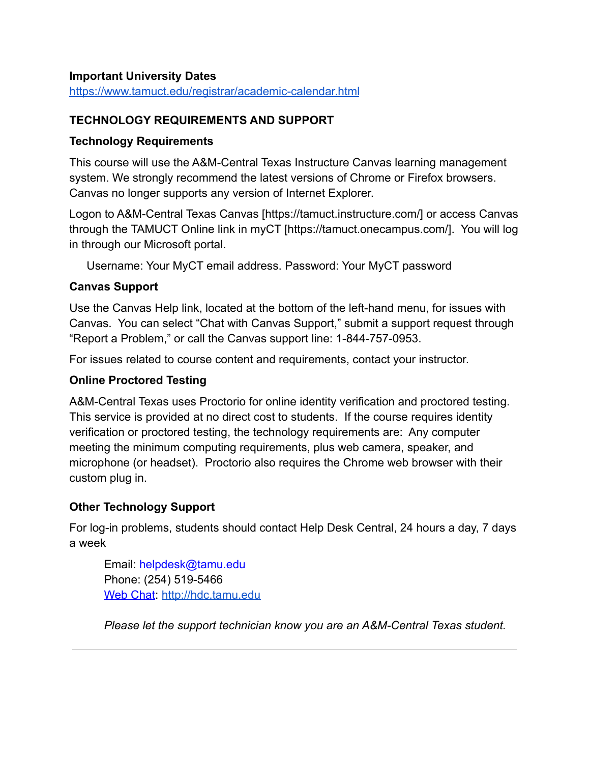#### **Important University Dates**

<https://www.tamuct.edu/registrar/academic-calendar.html>

#### **TECHNOLOGY REQUIREMENTS AND SUPPORT**

#### **Technology Requirements**

This course will use the A&M-Central Texas Instructure Canvas learning management system. We strongly recommend the latest versions of Chrome or Firefox browsers. Canvas no longer supports any version of Internet Explorer.

Logon to A&M-Central Texas Canvas [https://tamuct.instructure.com/] or access Canvas through the TAMUCT Online link in myCT [https://tamuct.onecampus.com/]. You will log in through our Microsoft portal.

Username: Your MyCT email address. Password: Your MyCT password

### **Canvas Support**

Use the Canvas Help link, located at the bottom of the left-hand menu, for issues with Canvas. You can select "Chat with Canvas Support," submit a support request through "Report a Problem," or call the Canvas support line: 1-844-757-0953.

For issues related to course content and requirements, contact your instructor.

#### **Online Proctored Testing**

A&M-Central Texas uses Proctorio for online identity verification and proctored testing. This service is provided at no direct cost to students. If the course requires identity verification or proctored testing, the technology requirements are: Any computer meeting the minimum computing requirements, plus web camera, speaker, and microphone (or headset). Proctorio also requires the Chrome web browser with their custom plug in.

### **Other Technology Support**

For log-in problems, students should contact Help Desk Central, 24 hours a day, 7 days a week

Email: helpdesk@tamu.edu Phone: (254) 519-5466 [Web Chat](http://hdc.tamu.edu): <http://hdc.tamu.edu>

*Please let the support technician know you are an A&M-Central Texas student.*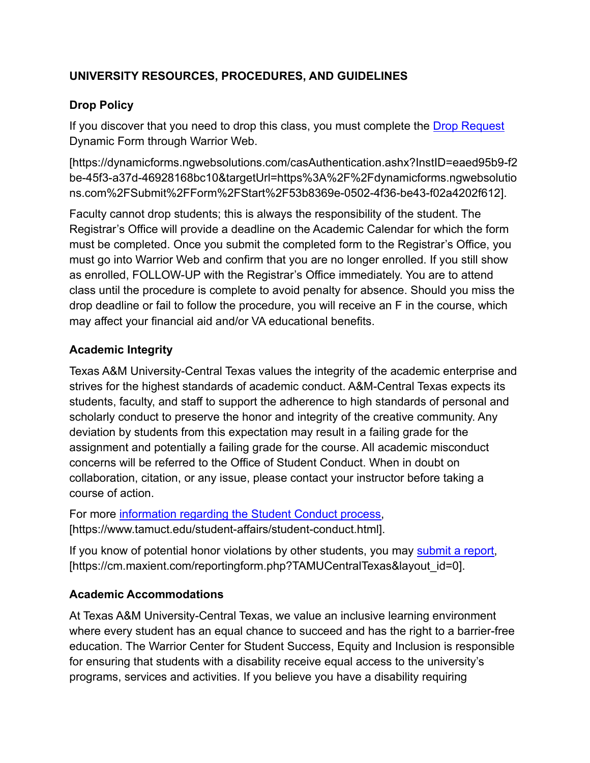# **UNIVERSITY RESOURCES, PROCEDURES, AND GUIDELINES**

### **Drop Policy**

If you discover that you need to drop this class, you must complete the [Drop Request](https://dynamicforms.ngwebsolutions.com/casAuthentication.ashx?InstID=eaed95b9-f2be-45f3-a37d-46928168bc10&targetUrl=https%3A%2F%2Fdynamicforms.ngwebsolutions.com%2FSubmit%2FForm%2FStart%2F53b8369e-0502-4f36-be43-f02a4202f612) Dynamic Form through Warrior Web.

[https://dynamicforms.ngwebsolutions.com/casAuthentication.ashx?InstID=eaed95b9-f2 be-45f3-a37d-46928168bc10&targetUrl=https%3A%2F%2Fdynamicforms.ngwebsolutio ns.com%2FSubmit%2FForm%2FStart%2F53b8369e-0502-4f36-be43-f02a4202f612].

Faculty cannot drop students; this is always the responsibility of the student. The Registrar's Office will provide a deadline on the Academic Calendar for which the form must be completed. Once you submit the completed form to the Registrar's Office, you must go into Warrior Web and confirm that you are no longer enrolled. If you still show as enrolled, FOLLOW-UP with the Registrar's Office immediately. You are to attend class until the procedure is complete to avoid penalty for absence. Should you miss the drop deadline or fail to follow the procedure, you will receive an F in the course, which may affect your financial aid and/or VA educational benefits.

### **Academic Integrity**

Texas A&M University-Central Texas values the integrity of the academic enterprise and strives for the highest standards of academic conduct. A&M-Central Texas expects its students, faculty, and staff to support the adherence to high standards of personal and scholarly conduct to preserve the honor and integrity of the creative community. Any deviation by students from this expectation may result in a failing grade for the assignment and potentially a failing grade for the course. All academic misconduct concerns will be referred to the Office of Student Conduct. When in doubt on collaboration, citation, or any issue, please contact your instructor before taking a course of action.

For more [information regarding the Student Conduct](https://nam04.safelinks.protection.outlook.com/?url=https%3A%2F%2Fwww.tamuct.edu%2Fstudent-affairs%2Fstudent-conduct.html&data=04%7C01%7Clisa.bunkowski%40tamuct.edu%7Ccfb6e486f24745f53e1a08d910055cb2%7C9eed4e3000f744849ff193ad8005acec%7C0%7C0%7C637558437485252160%7CUnknown%7CTWFpbGZsb3d8eyJWIjoiMC4wLjAwMDAiLCJQIjoiV2luMzIiLCJBTiI6Ik1haWwiLCJXVCI6Mn0%3D%7C1000&sdata=yjftDEVHvLX%2FhM%2FcFU0B99krV1RgEWR%2BJ%2BhvtoR6TYk%3D&reserved=0) process, [https://www.tamuct.edu/student-affairs/student-conduct.html].

If you know of potential honor violations by other students, you may [submit a report,](https://nam04.safelinks.protection.outlook.com/?url=https%3A%2F%2Fcm.maxient.com%2Freportingform.php%3FTAMUCentralTexas%26layout_id%3D0&data=04%7C01%7Clisa.bunkowski%40tamuct.edu%7Ccfb6e486f24745f53e1a08d910055cb2%7C9eed4e3000f744849ff193ad8005acec%7C0%7C0%7C637558437485262157%7CUnknown%7CTWFpbGZsb3d8eyJWIjoiMC4wLjAwMDAiLCJQIjoiV2luMzIiLCJBTiI6Ik1haWwiLCJXVCI6Mn0%3D%7C1000&sdata=CXGkOa6uPDPX1IMZ87z3aZDq2n91xfHKu4MMS43Ejjk%3D&reserved=0) [https://cm.maxient.com/reportingform.php?TAMUCentralTexas&layout\_id=0].

### **Academic Accommodations**

At Texas A&M University-Central Texas, we value an inclusive learning environment where every student has an equal chance to succeed and has the right to a barrier-free education. The Warrior Center for Student Success, Equity and Inclusion is responsible for ensuring that students with a disability receive equal access to the university's programs, services and activities. If you believe you have a disability requiring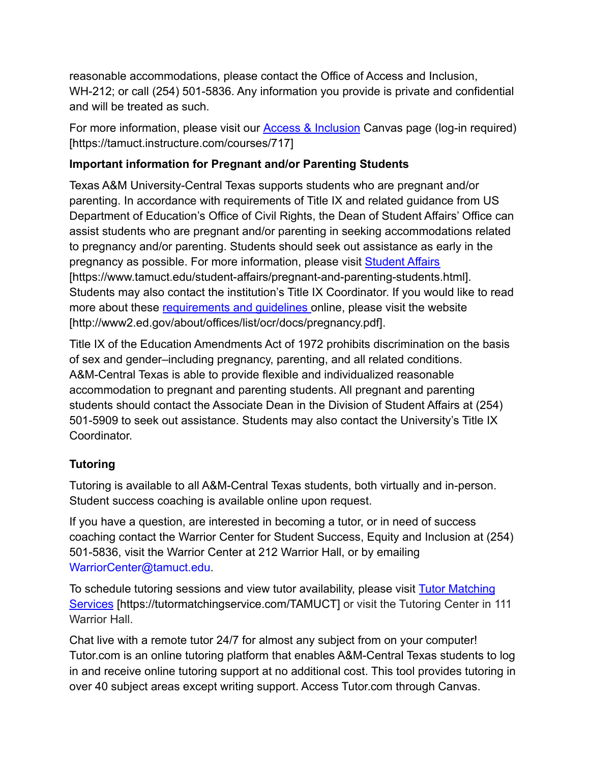reasonable accommodations, please contact the Office of Access and Inclusion, WH-212; or call (254) 501-5836. Any information you provide is private and confidential and will be treated as such.

For more information, please visit our [Access & Inclusion](https://tamuct.instructure.com/courses/717) Canvas page (log-in required) [https://tamuct.instructure.com/courses/717]

# **Important information for Pregnant and/or Parenting Students**

Texas A&M University-Central Texas supports students who are pregnant and/or parenting. In accordance with requirements of Title IX and related guidance from US Department of Education's Office of Civil Rights, the Dean of Student Affairs' Office can assist students who are pregnant and/or parenting in seeking accommodations related to pregnancy and/or parenting. Students should seek out assistance as early in the pregnancy as possible. For more information, please visit [Student Affairs](https://www.tamuct.edu/student-affairs/pregnant-and-parenting-students.html) [https://www.tamuct.edu/student-affairs/pregnant-and-parenting-students.html]. Students may also contact the institution's Title IX Coordinator. If you would like to read more about these [requirements and guidelines](http://www2.ed.gov/about/offices/list/ocr/docs/pregnancy.pdf) online, please visit the website [http://www2.ed.gov/about/offices/list/ocr/docs/pregnancy.pdf].

Title IX of the Education Amendments Act of 1972 prohibits discrimination on the basis of sex and gender–including pregnancy, parenting, and all related conditions. A&M-Central Texas is able to provide flexible and individualized reasonable accommodation to pregnant and parenting students. All pregnant and parenting students should contact the Associate Dean in the Division of Student Affairs at (254) 501-5909 to seek out assistance. Students may also contact the University's Title IX Coordinator.

# **Tutoring**

Tutoring is available to all A&M-Central Texas students, both virtually and in-person. Student success coaching is available online upon request.

If you have a question, are interested in becoming a tutor, or in need of success coaching contact the Warrior Center for Student Success, Equity and Inclusion at (254) 501-5836, visit the Warrior Center at 212 Warrior Hall, or by emailing WarriorCenter@tamuct.edu.

To schedule tutoring sessions and view tutor availability, please visit [Tutor Matching](https://nam04.safelinks.protection.outlook.com/?url=http%3A%2F%2Fwww.tutormatchingservices.com%2FTAMUCT&data=04%7C01%7Clisa.bunkowski%40tamuct.edu%7C886784139069461670c308d9aa01f55e%7C9eed4e3000f744849ff193ad8005acec%7C0%7C0%7C637727747643427346%7CUnknown%7CTWFpbGZsb3d8eyJWIjoiMC4wLjAwMDAiLCJQIjoiV2luMzIiLCJBTiI6Ik1haWwiLCJXVCI6Mn0%3D%7C3000&sdata=D%2F8HN2bUT1lLPfs5qSqKYlwh8a7pZVy7isM2gppluQE%3D&reserved=0) [Services](https://nam04.safelinks.protection.outlook.com/?url=http%3A%2F%2Fwww.tutormatchingservices.com%2FTAMUCT&data=04%7C01%7Clisa.bunkowski%40tamuct.edu%7C886784139069461670c308d9aa01f55e%7C9eed4e3000f744849ff193ad8005acec%7C0%7C0%7C637727747643427346%7CUnknown%7CTWFpbGZsb3d8eyJWIjoiMC4wLjAwMDAiLCJQIjoiV2luMzIiLCJBTiI6Ik1haWwiLCJXVCI6Mn0%3D%7C3000&sdata=D%2F8HN2bUT1lLPfs5qSqKYlwh8a7pZVy7isM2gppluQE%3D&reserved=0) [https://tutormatchingservice.com/TAMUCT] or visit the Tutoring Center in 111 Warrior Hall.

Chat live with a remote tutor 24/7 for almost any subject from on your computer! Tutor.com is an online tutoring platform that enables A&M-Central Texas students to log in and receive online tutoring support at no additional cost. This tool provides tutoring in over 40 subject areas except writing support. Access Tutor.com through Canvas.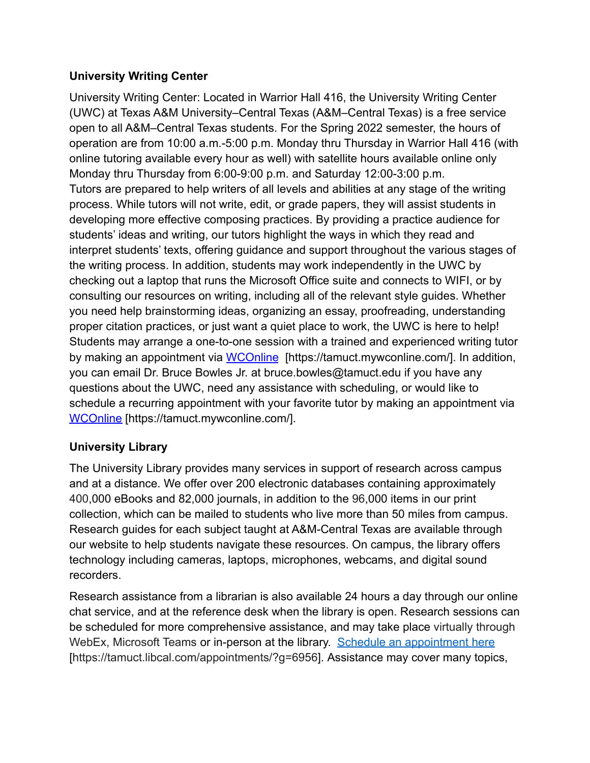### **University Writing Center**

University Writing Center: Located in Warrior Hall 416, the University Writing Center (UWC) at Texas A&M University–Central Texas (A&M–Central Texas) is a free service open to all A&M–Central Texas students. For the Spring 2022 semester, the hours of operation are from 10:00 a.m.-5:00 p.m. Monday thru Thursday in Warrior Hall 416 (with online tutoring available every hour as well) with satellite hours available online only Monday thru Thursday from 6:00-9:00 p.m. and Saturday 12:00-3:00 p.m. Tutors are prepared to help writers of all levels and abilities at any stage of the writing process. While tutors will not write, edit, or grade papers, they will assist students in developing more effective composing practices. By providing a practice audience for students' ideas and writing, our tutors highlight the ways in which they read and interpret students' texts, offering guidance and support throughout the various stages of the writing process. In addition, students may work independently in the UWC by checking out a laptop that runs the Microsoft Office suite and connects to WIFI, or by consulting our resources on writing, including all of the relevant style guides. Whether you need help brainstorming ideas, organizing an essay, proofreading, understanding proper citation practices, or just want a quiet place to work, the UWC is here to help! Students may arrange a one-to-one session with a trained and experienced writing tutor by making an appointment via [WCOnline](https://tamuct.mywconline.com/) [https://tamuct.mywconline.com/]. In addition, you can email Dr. Bruce Bowles Jr. at bruce.bowles@tamuct.edu if you have any questions about the UWC, need any assistance with scheduling, or would like to schedule a recurring appointment with your favorite tutor by making an appointment via [WCOnline](https://tamuct.mywconline.com/) [https://tamuct.mywconline.com/].

# **University Library**

The University Library provides many services in support of research across campus and at a distance. We offer over 200 electronic databases containing approximately 400,000 eBooks and 82,000 journals, in addition to the 96,000 items in our print collection, which can be mailed to students who live more than 50 miles from campus. Research guides for each subject taught at A&M-Central Texas are available through our website to help students navigate these resources. On campus, the library offers technology including cameras, laptops, microphones, webcams, and digital sound recorders.

Research assistance from a librarian is also available 24 hours a day through our online chat service, and at the reference desk when the library is open. Research sessions can be scheduled for more comprehensive assistance, and may take place virtually through WebEx, Microsoft Teams or in-person at the library. [Schedule an appointment here](https://nam04.safelinks.protection.outlook.com/?url=https%3A%2F%2Ftamuct.libcal.com%2Fappointments%2F%3Fg%3D6956&data=04%7C01%7Clisa.bunkowski%40tamuct.edu%7Cde2c07d9f5804f09518008d9ab7ba6ff%7C9eed4e3000f744849ff193ad8005acec%7C0%7C0%7C637729369835011558%7CUnknown%7CTWFpbGZsb3d8eyJWIjoiMC4wLjAwMDAiLCJQIjoiV2luMzIiLCJBTiI6Ik1haWwiLCJXVCI6Mn0%3D%7C3000&sdata=KhtjgRSAw9aq%2FoBsB6wyu8b7PSuGN5EGPypzr3Ty2No%3D&reserved=0) [https://tamuct.libcal.com/appointments/?g=6956]. Assistance may cover many topics,